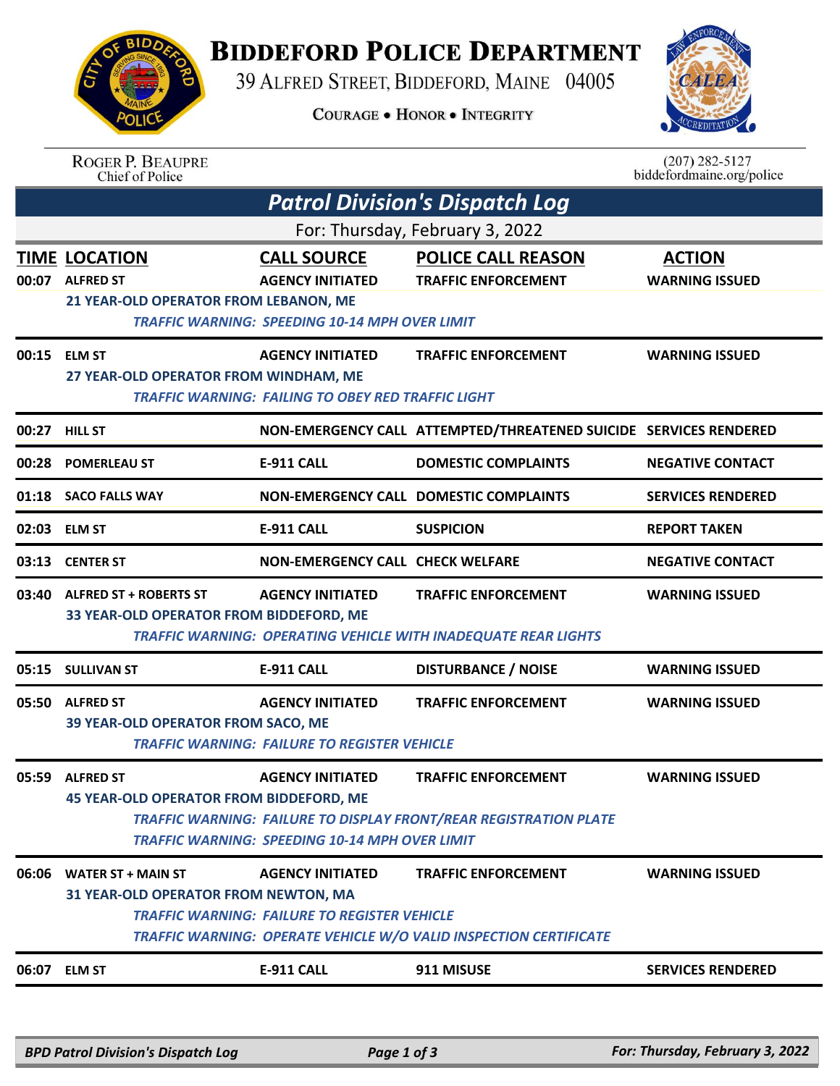## **BIDDEFORD POLICE DEPARTMENT** 39 ALFRED STREET, BIDDEFORD, MAINE 04005

**COURAGE . HONOR . INTEGRITY** 



|                                 | <b>ROGER P. BEAUPRE</b><br>Chief of Police                                |                                                                                                        |                                                                                                        | $(207)$ 282-5127<br>biddefordmaine.org/police |  |  |  |  |
|---------------------------------|---------------------------------------------------------------------------|--------------------------------------------------------------------------------------------------------|--------------------------------------------------------------------------------------------------------|-----------------------------------------------|--|--|--|--|
|                                 | <b>Patrol Division's Dispatch Log</b>                                     |                                                                                                        |                                                                                                        |                                               |  |  |  |  |
| For: Thursday, February 3, 2022 |                                                                           |                                                                                                        |                                                                                                        |                                               |  |  |  |  |
|                                 | TIME LOCATION<br>00:07 ALFRED ST<br>21 YEAR-OLD OPERATOR FROM LEBANON, ME | <b>CALL SOURCE</b><br><b>AGENCY INITIATED</b><br><b>TRAFFIC WARNING: SPEEDING 10-14 MPH OVER LIMIT</b> | <b>POLICE CALL REASON</b><br><b>TRAFFIC ENFORCEMENT</b>                                                | <b>ACTION</b><br><b>WARNING ISSUED</b>        |  |  |  |  |
| 00:15                           | <b>ELM ST</b><br>27 YEAR-OLD OPERATOR FROM WINDHAM, ME                    | <b>AGENCY INITIATED</b><br><b>TRAFFIC WARNING: FAILING TO OBEY RED TRAFFIC LIGHT</b>                   | <b>TRAFFIC ENFORCEMENT</b>                                                                             | <b>WARNING ISSUED</b>                         |  |  |  |  |
| 00:27                           | <b>HILL ST</b>                                                            |                                                                                                        | NON-EMERGENCY CALL ATTEMPTED/THREATENED SUICIDE SERVICES RENDERED                                      |                                               |  |  |  |  |
| 00:28                           | <b>POMERLEAU ST</b>                                                       | <b>E-911 CALL</b>                                                                                      | <b>DOMESTIC COMPLAINTS</b>                                                                             | <b>NEGATIVE CONTACT</b>                       |  |  |  |  |
|                                 | 01:18 SACO FALLS WAY                                                      |                                                                                                        | <b>NON-EMERGENCY CALL DOMESTIC COMPLAINTS</b>                                                          | <b>SERVICES RENDERED</b>                      |  |  |  |  |
| 02:03                           | <b>ELM ST</b>                                                             | <b>E-911 CALL</b>                                                                                      | <b>SUSPICION</b>                                                                                       | <b>REPORT TAKEN</b>                           |  |  |  |  |
| 03:13                           | <b>CENTER ST</b>                                                          | <b>NON-EMERGENCY CALL CHECK WELFARE</b>                                                                |                                                                                                        | <b>NEGATIVE CONTACT</b>                       |  |  |  |  |
|                                 | 03:40 ALFRED ST + ROBERTS ST<br>33 YEAR-OLD OPERATOR FROM BIDDEFORD, ME   | <b>AGENCY INITIATED</b>                                                                                | <b>TRAFFIC ENFORCEMENT</b><br><b>TRAFFIC WARNING: OPERATING VEHICLE WITH INADEQUATE REAR LIGHTS</b>    | <b>WARNING ISSUED</b>                         |  |  |  |  |
| 05:15                           | <b>SULLIVAN ST</b>                                                        | E-911 CALL                                                                                             | <b>DISTURBANCE / NOISE</b>                                                                             | <b>WARNING ISSUED</b>                         |  |  |  |  |
| 05:50                           | <b>ALFRED ST</b><br>39 YEAR-OLD OPERATOR FROM SACO, ME                    | <b>AGENCY INITIATED</b><br><b>TRAFFIC WARNING: FAILURE TO REGISTER VEHICLE</b>                         | <b>TRAFFIC ENFORCEMENT</b>                                                                             | <b>WARNING ISSUED</b>                         |  |  |  |  |
| 05:59                           | <b>ALFRED ST</b><br><b>45 YEAR-OLD OPERATOR FROM BIDDEFORD, ME</b>        | <b>AGENCY INITIATED</b><br><b>TRAFFIC WARNING: SPEEDING 10-14 MPH OVER LIMIT</b>                       | <b>TRAFFIC ENFORCEMENT</b><br><b>TRAFFIC WARNING: FAILURE TO DISPLAY FRONT/REAR REGISTRATION PLATE</b> | <b>WARNING ISSUED</b>                         |  |  |  |  |
| 06:06                           | <b>WATER ST + MAIN ST</b><br>31 YEAR-OLD OPERATOR FROM NEWTON, MA         | <b>AGENCY INITIATED</b><br><b>TRAFFIC WARNING: FAILURE TO REGISTER VEHICLE</b>                         | <b>TRAFFIC ENFORCEMENT</b><br><b>TRAFFIC WARNING: OPERATE VEHICLE W/O VALID INSPECTION CERTIFICATE</b> | <b>WARNING ISSUED</b>                         |  |  |  |  |
|                                 | 06:07 ELM ST                                                              | <b>E-911 CALL</b>                                                                                      | 911 MISUSE                                                                                             | <b>SERVICES RENDERED</b>                      |  |  |  |  |
|                                 |                                                                           |                                                                                                        |                                                                                                        |                                               |  |  |  |  |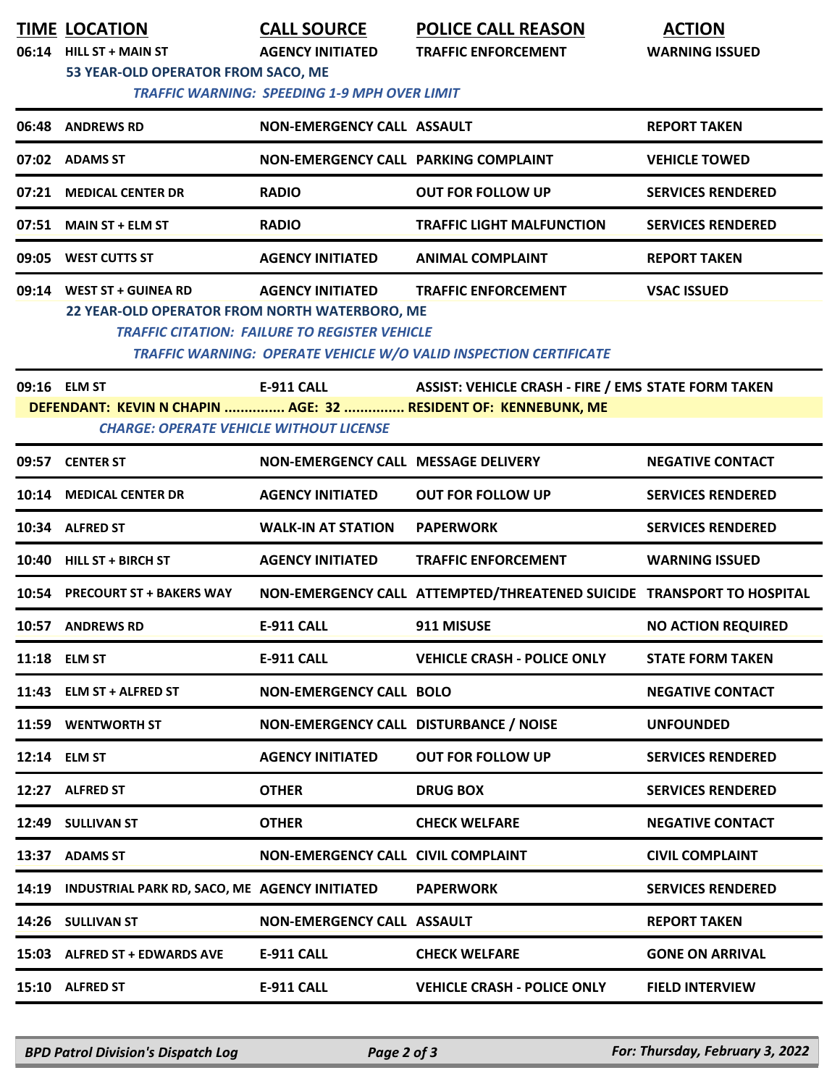| <b>TIME LOCATION</b><br>06:14 HILL ST + MAIN ST<br>53 YEAR-OLD OPERATOR FROM SACO, ME | <b>CALL SOURCE</b><br><b>AGENCY INITIATED</b><br><b>TRAFFIC WARNING: SPEEDING 1-9 MPH OVER LIMIT</b> | <b>POLICE CALL REASON</b><br><b>TRAFFIC ENFORCEMENT</b>                                                                      | <b>ACTION</b><br><b>WARNING ISSUED</b> |
|---------------------------------------------------------------------------------------|------------------------------------------------------------------------------------------------------|------------------------------------------------------------------------------------------------------------------------------|----------------------------------------|
| 06:48 ANDREWS RD                                                                      | NON-EMERGENCY CALL ASSAULT                                                                           |                                                                                                                              | <b>REPORT TAKEN</b>                    |
| 07:02 ADAMS ST                                                                        | NON-EMERGENCY CALL PARKING COMPLAINT                                                                 |                                                                                                                              | <b>VEHICLE TOWED</b>                   |
| 07:21 MEDICAL CENTER DR                                                               | <b>RADIO</b>                                                                                         | <b>OUT FOR FOLLOW UP</b>                                                                                                     | <b>SERVICES RENDERED</b>               |
| 07:51 MAIN ST + ELM ST                                                                | <b>RADIO</b>                                                                                         | <b>TRAFFIC LIGHT MALFUNCTION</b>                                                                                             | <b>SERVICES RENDERED</b>               |
| 09:05 WEST CUTTS ST                                                                   | <b>AGENCY INITIATED</b>                                                                              | <b>ANIMAL COMPLAINT</b>                                                                                                      | <b>REPORT TAKEN</b>                    |
| 09:14 WEST ST + GUINEA RD<br>22 YEAR-OLD OPERATOR FROM NORTH WATERBORO, ME            | <b>AGENCY INITIATED</b><br><b>TRAFFIC CITATION: FAILURE TO REGISTER VEHICLE</b>                      | <b>TRAFFIC ENFORCEMENT</b><br>TRAFFIC WARNING: OPERATE VEHICLE W/O VALID INSPECTION CERTIFICATE                              | <b>VSAC ISSUED</b>                     |
| 09:16 ELM ST<br><b>CHARGE: OPERATE VEHICLE WITHOUT LICENSE</b>                        | E-911 CALL                                                                                           | <b>ASSIST: VEHICLE CRASH - FIRE / EMS STATE FORM TAKEN</b><br>DEFENDANT: KEVIN N CHAPIN  AGE: 32  RESIDENT OF: KENNEBUNK, ME |                                        |
| 09:57 CENTER ST                                                                       | NON-EMERGENCY CALL MESSAGE DELIVERY                                                                  |                                                                                                                              | <b>NEGATIVE CONTACT</b>                |
| 10:14 MEDICAL CENTER DR                                                               | <b>AGENCY INITIATED</b>                                                                              | <b>OUT FOR FOLLOW UP</b>                                                                                                     | <b>SERVICES RENDERED</b>               |
| 10:34 ALFRED ST                                                                       | <b>WALK-IN AT STATION</b>                                                                            | <b>PAPERWORK</b>                                                                                                             | <b>SERVICES RENDERED</b>               |
| 10:40 HILL ST + BIRCH ST                                                              | <b>AGENCY INITIATED</b>                                                                              | <b>TRAFFIC ENFORCEMENT</b>                                                                                                   | <b>WARNING ISSUED</b>                  |
| 10:54 PRECOURT ST + BAKERS WAY                                                        |                                                                                                      | NON-EMERGENCY CALL ATTEMPTED/THREATENED SUICIDE TRANSPORT TO HOSPITAL                                                        |                                        |
| 10:57 ANDREWS RD                                                                      | E-911 CALL                                                                                           | 911 MISUSE                                                                                                                   | <b>NO ACTION REQUIRED</b>              |
| 11:18 ELM ST                                                                          | E-911 CALL                                                                                           | <b>VEHICLE CRASH - POLICE ONLY</b>                                                                                           | <b>STATE FORM TAKEN</b>                |
| 11:43 ELM ST + ALFRED ST                                                              | <b>NON-EMERGENCY CALL BOLO</b>                                                                       |                                                                                                                              | <b>NEGATIVE CONTACT</b>                |
| 11:59 WENTWORTH ST                                                                    | NON-EMERGENCY CALL DISTURBANCE / NOISE                                                               |                                                                                                                              | <b>UNFOUNDED</b>                       |
| 12:14 ELM ST                                                                          | <b>AGENCY INITIATED</b>                                                                              | <b>OUT FOR FOLLOW UP</b>                                                                                                     | <b>SERVICES RENDERED</b>               |
| 12:27 ALFRED ST                                                                       | <b>OTHER</b>                                                                                         | <b>DRUG BOX</b>                                                                                                              | <b>SERVICES RENDERED</b>               |
| 12:49 SULLIVAN ST                                                                     | <b>OTHER</b>                                                                                         | <b>CHECK WELFARE</b>                                                                                                         | <b>NEGATIVE CONTACT</b>                |
| 13:37 ADAMS ST                                                                        | NON-EMERGENCY CALL CIVIL COMPLAINT                                                                   |                                                                                                                              | <b>CIVIL COMPLAINT</b>                 |
| 14:19 INDUSTRIAL PARK RD, SACO, ME AGENCY INITIATED                                   |                                                                                                      | <b>PAPERWORK</b>                                                                                                             | <b>SERVICES RENDERED</b>               |
| 14:26 SULLIVAN ST                                                                     | NON-EMERGENCY CALL ASSAULT                                                                           |                                                                                                                              | <b>REPORT TAKEN</b>                    |
| 15:03 ALFRED ST + EDWARDS AVE                                                         | <b>E-911 CALL</b>                                                                                    | <b>CHECK WELFARE</b>                                                                                                         | <b>GONE ON ARRIVAL</b>                 |
| 15:10 ALFRED ST                                                                       | <b>E-911 CALL</b>                                                                                    | <b>VEHICLE CRASH - POLICE ONLY</b>                                                                                           | <b>FIELD INTERVIEW</b>                 |